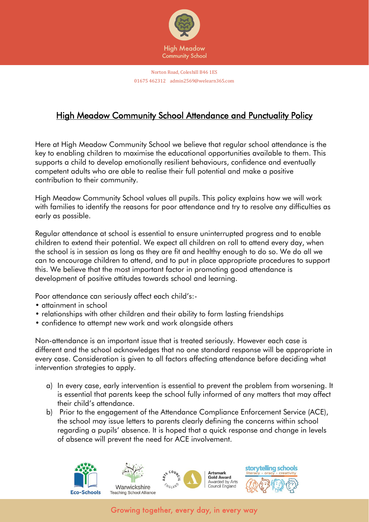

# High Meadow Community School Attendance and Punctuality Policy

Here at High Meadow Community School we believe that regular school attendance is the key to enabling children to maximise the educational opportunities available to them. This supports a child to develop emotionally resilient behaviours, confidence and eventually competent adults who are able to realise their full potential and make a positive contribution to their community.

High Meadow Community School values all pupils. This policy explains how we will work with families to identify the reasons for poor attendance and try to resolve any difficulties as early as possible.

Regular attendance at school is essential to ensure uninterrupted progress and to enable children to extend their potential. We expect all children on roll to attend every day, when the school is in session as long as they are fit and healthy enough to do so. We do all we can to encourage children to attend, and to put in place appropriate procedures to support this. We believe that the most important factor in promoting good attendance is development of positive attitudes towards school and learning.

Poor attendance can seriously affect each child's:-

- attainment in school
- relationships with other children and their ability to form lasting friendships
- confidence to attempt new work and work alongside others

Non-attendance is an important issue that is treated seriously. However each case is different and the school acknowledges that no one standard response will be appropriate in every case. Consideration is given to all factors affecting attendance before deciding what intervention strategies to apply.

- a) In every case, early intervention is essential to prevent the problem from worsening. It is essential that parents keep the school fully informed of any matters that may affect their child's attendance.
- b) Prior to the engagement of the Attendance Compliance Enforcement Service (ACE), the school may issue letters to parents clearly defining the concerns within school regarding a pupils' absence. It is hoped that a quick response and change in levels of absence will prevent the need for ACE involvement.

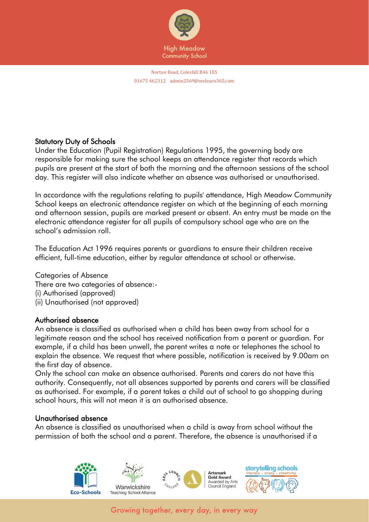

## Statutory Duty of Schools

Under the Education (Pupil Registration) Regulations 1995, the governing body are responsible for making sure the school keeps an attendance register that records which pupils are present at the start of both the morning and the afternoon sessions of the school day. This register will also indicate whether an absence was authorised or unauthorised.

In accordance with the regulations relating to pupils' attendance, High Meadow Community School keeps an electronic attendance register on which at the beginning of each morning and afternoon session, pupils are marked present or absent. An entry must be made on the electronic attendance register for all pupils of compulsory school age who are on the school's admission roll.

The Education Act 1996 requires parents or guardians to ensure their children receive efficient, full-time education, either by regular attendance at school or otherwise.

Categories of Absence There are two categories of absence:- (i) Authorised (approved) (ii) Unauthorised (not approved)

## Authorised absence

An absence is classified as authorised when a child has been away from school for a legitimate reason and the school has received notification from a parent or guardian. For example, if a child has been unwell, the parent writes a note or telephones the school to explain the absence. We request that where possible, notification is received by 9.00am on the first day of absence.

Only the school can make an absence authorised. Parents and carers do not have this authority. Consequently, not all absences supported by parents and carers will be classified as authorised. For example, if a parent takes a child out of school to go shopping during school hours, this will not mean it is an authorised absence.

#### Unauthorised absence

An absence is classified as unauthorised when a child is away from school without the permission of both the school and a parent. Therefore, the absence is unauthorised if a

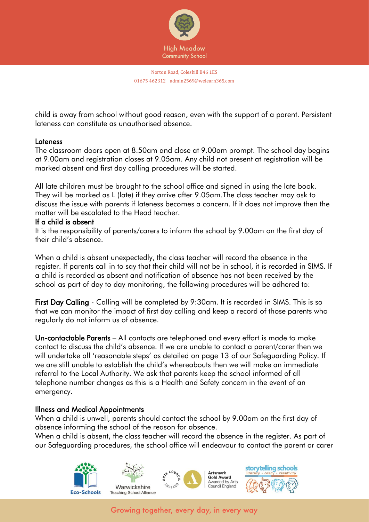

child is away from school without good reason, even with the support of a parent. Persistent lateness can constitute as unauthorised absence.

#### Lateness

The classroom doors open at 8.50am and close at 9.00am prompt. The school day begins at 9.00am and registration closes at 9.05am. Any child not present at registration will be marked absent and first day calling procedures will be started.

All late children must be brought to the school office and signed in using the late book. They will be marked as L (late) if they arrive after 9.05am.The class teacher may ask to discuss the issue with parents if lateness becomes a concern. If it does not improve then the matter will be escalated to the Head teacher.

#### If a child is absent

It is the responsibility of parents/carers to inform the school by 9.00am on the first day of their child's absence.

When a child is absent unexpectedly, the class teacher will record the absence in the register. If parents call in to say that their child will not be in school, it is recorded in SIMS. If a child is recorded as absent and notification of absence has not been received by the school as part of day to day monitoring, the following procedures will be adhered to:

First Day Calling - Calling will be completed by 9:30am. It is recorded in SIMS. This is so that we can monitor the impact of first day calling and keep a record of those parents who regularly do not inform us of absence.

Un-contactable Parents – All contacts are telephoned and every effort is made to make contact to discuss the child's absence. If we are unable to contact a parent/carer then we will undertake all 'reasonable steps' as detailed on page 13 of our Safeguarding Policy. If we are still unable to establish the child's whereabouts then we will make an immediate referral to the Local Authority. We ask that parents keep the school informed of all telephone number changes as this is a Health and Safety concern in the event of an emergency.

## Illness and Medical Appointments

When a child is unwell, parents should contact the school by 9.00am on the first day of absence informing the school of the reason for absence.

When a child is absent, the class teacher will record the absence in the register. As part of our Safeguarding procedures, the school office will endeavour to contact the parent or carer

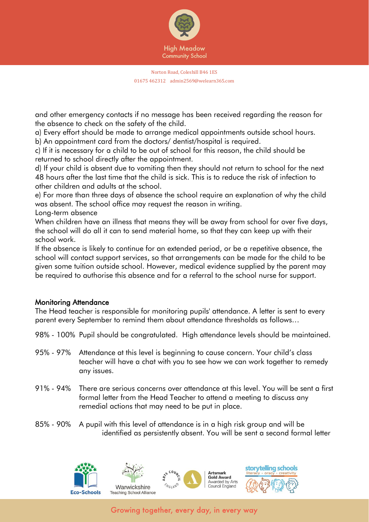

and other emergency contacts if no message has been received regarding the reason for the absence to check on the safety of the child.

a) Every effort should be made to arrange medical appointments outside school hours. b) An appointment card from the doctors/ dentist/hospital is required.

c) If it is necessary for a child to be out of school for this reason, the child should be returned to school directly after the appointment.

d) If your child is absent due to vomiting then they should not return to school for the next 48 hours after the last time that the child is sick. This is to reduce the risk of infection to other children and adults at the school.

e) For more than three days of absence the school require an explanation of why the child was absent. The school office may request the reason in writing.

Long-term absence

When children have an illness that means they will be away from school for over five days, the school will do all it can to send material home, so that they can keep up with their school work.

If the absence is likely to continue for an extended period, or be a repetitive absence, the school will contact support services, so that arrangements can be made for the child to be given some tuition outside school. However, medical evidence supplied by the parent may be required to authorise this absence and for a referral to the school nurse for support.

# Monitoring Attendance

The Head teacher is responsible for monitoring pupils' attendance. A letter is sent to every parent every September to remind them about attendance thresholds as follows…

- 98% 100% Pupil should be congratulated. High attendance levels should be maintained.
- 95% 97% Attendance at this level is beginning to cause concern. Your child's class teacher will have a chat with you to see how we can work together to remedy any issues.
- 91% 94% There are serious concerns over attendance at this level. You will be sent a first formal letter from the Head Teacher to attend a meeting to discuss any remedial actions that may need to be put in place.
- 85% 90% A pupil with this level of attendance is in a high risk group and will be identified as persistently absent. You will be sent a second formal letter

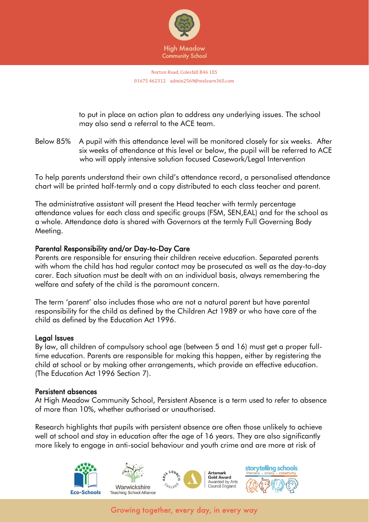

to put in place an action plan to address any underlying issues. The school may also send a referral to the ACE team.

Below 85% A pupil with this attendance level will be monitored closely for six weeks. After six weeks of attendance at this level or below, the pupil will be referred to ACE who will apply intensive solution focused Casework/Legal Intervention

To help parents understand their own child's attendance record, a personalised attendance chart will be printed half-termly and a copy distributed to each class teacher and parent.

The administrative assistant will present the Head teacher with termly percentage attendance values for each class and specific groups (FSM, SEN,EAL) and for the school as a whole. Attendance data is shared with Governors at the termly Full Governing Body Meeting.

## Parental Responsibility and/or Day-to-Day Care

Parents are responsible for ensuring their children receive education. Separated parents with whom the child has had regular contact may be prosecuted as well as the day-to-day carer. Each situation must be dealt with on an individual basis, always remembering the welfare and safety of the child is the paramount concern.

The term 'parent' also includes those who are not a natural parent but have parental responsibility for the child as defined by the Children Act 1989 or who have care of the child as defined by the Education Act 1996.

#### Legal Issues

By law, all children of compulsory school age (between 5 and 16) must get a proper fulltime education. Parents are responsible for making this happen, either by registering the child at school or by making other arrangements, which provide an effective education. (The Education Act 1996 Section 7).

#### Persistent absences

At High Meadow Community School, Persistent Absence is a term used to refer to absence of more than 10%, whether authorised or unauthorised.

Research highlights that pupils with persistent absence are often those unlikely to achieve well at school and stay in education after the age of 16 years. They are also significantly more likely to engage in anti-social behaviour and youth crime and are more at risk of

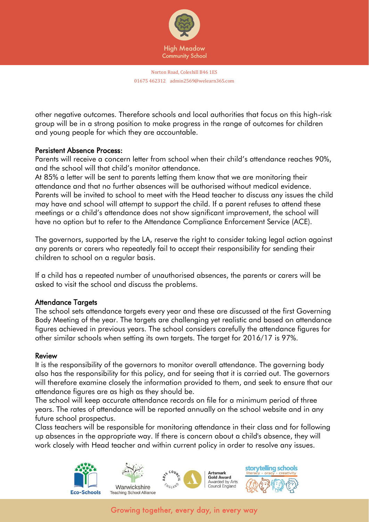

other negative outcomes. Therefore schools and local authorities that focus on this high-risk group will be in a strong position to make progress in the range of outcomes for children and young people for which they are accountable.

#### Persistent Absence Process:

Parents will receive a concern letter from school when their child's attendance reaches 90%, and the school will that child's monitor attendance.

At 85% a letter will be sent to parents letting them know that we are monitoring their attendance and that no further absences will be authorised without medical evidence. Parents will be invited to school to meet with the Head teacher to discuss any issues the child may have and school will attempt to support the child. If a parent refuses to attend these meetings or a child's attendance does not show significant improvement, the school will have no option but to refer to the Attendance Compliance Enforcement Service (ACE).

The governors, supported by the LA, reserve the right to consider taking legal action against any parents or carers who repeatedly fail to accept their responsibility for sending their children to school on a regular basis.

If a child has a repeated number of unauthorised absences, the parents or carers will be asked to visit the school and discuss the problems.

## Attendance Targets

The school sets attendance targets every year and these are discussed at the first Governing Body Meeting of the year. The targets are challenging yet realistic and based on attendance figures achieved in previous years. The school considers carefully the attendance figures for other similar schools when setting its own targets. The target for 2016/17 is 97%.

#### Review

It is the responsibility of the governors to monitor overall attendance. The governing body also has the responsibility for this policy, and for seeing that it is carried out. The governors will therefore examine closely the information provided to them, and seek to ensure that our attendance figures are as high as they should be.

The school will keep accurate attendance records on file for a minimum period of three years. The rates of attendance will be reported annually on the school website and in any future school prospectus.

Class teachers will be responsible for monitoring attendance in their class and for following up absences in the appropriate way. If there is concern about a child's absence, they will work closely with Head teacher and within current policy in order to resolve any issues.

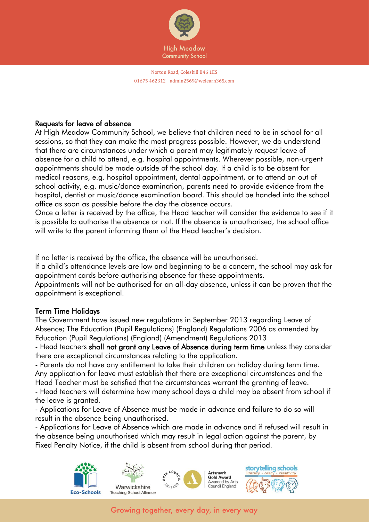

## Requests for leave of absence

At High Meadow Community School, we believe that children need to be in school for all sessions, so that they can make the most progress possible. However, we do understand that there are circumstances under which a parent may legitimately request leave of absence for a child to attend, e.g. hospital appointments. Wherever possible, non-urgent appointments should be made outside of the school day. If a child is to be absent for medical reasons, e.g. hospital appointment, dental appointment, or to attend an out of school activity, e.g. music/dance examination, parents need to provide evidence from the hospital, dentist or music/dance examination board. This should be handed into the school office as soon as possible before the day the absence occurs.

Once a letter is received by the office, the Head teacher will consider the evidence to see if it is possible to authorise the absence or not. If the absence is unauthorised, the school office will write to the parent informing them of the Head teacher's decision.

If no letter is received by the office, the absence will be unauthorised.

If a child's attendance levels are low and beginning to be a concern, the school may ask for appointment cards before authorising absence for these appointments.

Appointments will not be authorised for an all-day absence, unless it can be proven that the appointment is exceptional.

# Term Time Holidays

The Government have issued new regulations in September 2013 regarding Leave of Absence; The Education (Pupil Regulations) (England) Regulations 2006 as amended by Education (Pupil Regulations) (England) (Amendment) Regulations 2013

- Head teachers shall not grant any Leave of Absence during term time unless they consider there are exceptional circumstances relating to the application.

- Parents do not have any entitlement to take their children on holiday during term time. Any application for leave must establish that there are exceptional circumstances and the Head Teacher must be satisfied that the circumstances warrant the granting of leave.

- Head teachers will determine how many school days a child may be absent from school if the leave is granted.

- Applications for Leave of Absence must be made in advance and failure to do so will result in the absence being unauthorised.

- Applications for Leave of Absence which are made in advance and if refused will result in the absence being unauthorised which may result in legal action against the parent, by Fixed Penalty Notice, if the child is absent from school during that period.